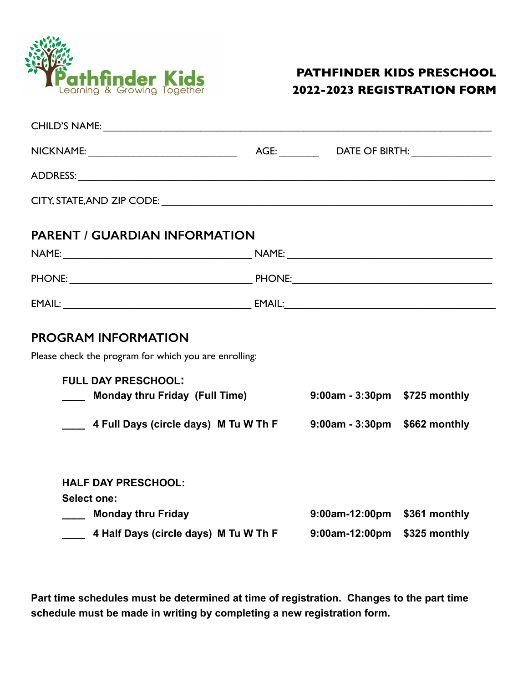

## **PATHFINDER KIDS PRESCHOOL 2022-2023 REGISTRATION FORM**

| <b>PARENT / GUARDIAN INFORMATION</b>                                                |  |                               |  |  |
|-------------------------------------------------------------------------------------|--|-------------------------------|--|--|
|                                                                                     |  |                               |  |  |
|                                                                                     |  |                               |  |  |
|                                                                                     |  |                               |  |  |
| <b>PROGRAM INFORMATION</b><br>Please check the program for which you are enrolling: |  |                               |  |  |
| <b>FULL DAY PRESCHOOL:</b>                                                          |  |                               |  |  |
| Monday thru Friday (Full Time)                                                      |  | 9:00am - 3:30pm \$725 monthly |  |  |
| 4 Full Days (circle days) M Tu W Th F 9:00am - 3:30pm \$662 monthly                 |  |                               |  |  |
| <b>HALF DAY PRESCHOOL:</b>                                                          |  |                               |  |  |
| <b>Select one:</b><br><b>Monday thru Friday</b>                                     |  | 9:00am-12:00pm \$361 monthly  |  |  |
| 4 Half Days (circle days) M Tu W Th F                                               |  | 9:00am-12:00pm \$325 monthly  |  |  |
|                                                                                     |  |                               |  |  |

**Part time schedules must be determined at time of registration. Changes to the part time schedule must be made in writing by completing a new registration form.**